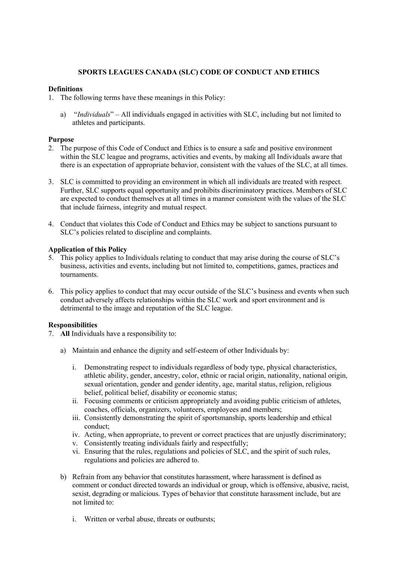# **SPORTS LEAGUES CANADA (SLC) CODE OF CONDUCT AND ETHICS**

### **Definitions**

- 1. The following terms have these meanings in this Policy:
	- a) "*Individuals*" All individuals engaged in activities with SLC, including but not limited to athletes and participants.

# **Purpose**

- 2. The purpose of this Code of Conduct and Ethics is to ensure a safe and positive environment within the SLC league and programs, activities and events, by making all Individuals aware that there is an expectation of appropriate behavior, consistent with the values of the SLC, at all times.
- 3. SLC is committed to providing an environment in which all individuals are treated with respect. Further, SLC supports equal opportunity and prohibits discriminatory practices. Members of SLC are expected to conduct themselves at all times in a manner consistent with the values of the SLC that include fairness, integrity and mutual respect.
- 4. Conduct that violates this Code of Conduct and Ethics may be subject to sanctions pursuant to SLC's policies related to discipline and complaints.

# **Application of this Policy**

- 5. This policy applies to Individuals relating to conduct that may arise during the course of SLC's business, activities and events, including but not limited to, competitions, games, practices and tournaments.
- 6. This policy applies to conduct that may occur outside of the SLC's business and events when such conduct adversely affects relationships within the SLC work and sport environment and is detrimental to the image and reputation of the SLC league.

# **Responsibilities**

- 7. **All** Individuals have a responsibility to:
	- a) Maintain and enhance the dignity and self-esteem of other Individuals by:
		- i. Demonstrating respect to individuals regardless of body type, physical characteristics, athletic ability, gender, ancestry, color, ethnic or racial origin, nationality, national origin, sexual orientation, gender and gender identity, age, marital status, religion, religious belief, political belief, disability or economic status;
		- ii. Focusing comments or criticism appropriately and avoiding public criticism of athletes, coaches, officials, organizers, volunteers, employees and members;
		- iii. Consistently demonstrating the spirit of sportsmanship, sports leadership and ethical conduct;
		- iv. Acting, when appropriate, to prevent or correct practices that are unjustly discriminatory;
		- v. Consistently treating individuals fairly and respectfully;
		- vi. Ensuring that the rules, regulations and policies of SLC, and the spirit of such rules, regulations and policies are adhered to.
	- b) Refrain from any behavior that constitutes harassment, where harassment is defined as comment or conduct directed towards an individual or group, which is offensive, abusive, racist, sexist, degrading or malicious. Types of behavior that constitute harassment include, but are not limited to:
		- i. Written or verbal abuse, threats or outbursts;